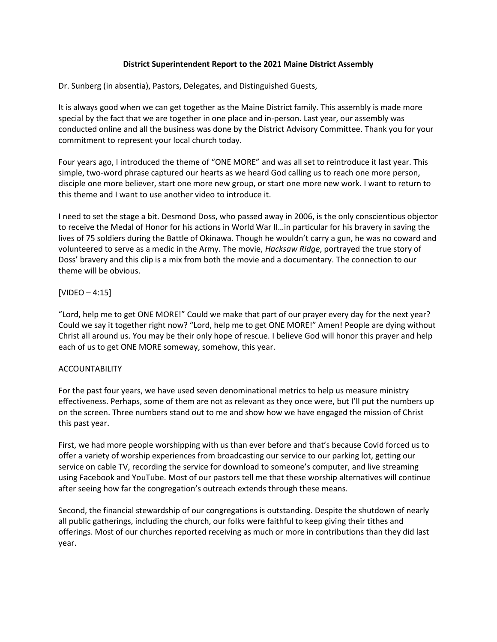## **District Superintendent Report to the 2021 Maine District Assembly**

Dr. Sunberg (in absentia), Pastors, Delegates, and Distinguished Guests,

It is always good when we can get together as the Maine District family. This assembly is made more special by the fact that we are together in one place and in-person. Last year, our assembly was conducted online and all the business was done by the District Advisory Committee. Thank you for your commitment to represent your local church today.

Four years ago, I introduced the theme of "ONE MORE" and was all set to reintroduce it last year. This simple, two-word phrase captured our hearts as we heard God calling us to reach one more person, disciple one more believer, start one more new group, or start one more new work. I want to return to this theme and I want to use another video to introduce it.

I need to set the stage a bit. Desmond Doss, who passed away in 2006, is the only conscientious objector to receive the Medal of Honor for his actions in World War II…in particular for his bravery in saving the lives of 75 soldiers during the Battle of Okinawa. Though he wouldn't carry a gun, he was no coward and volunteered to serve as a medic in the Army. The movie, *Hacksaw Ridge*, portrayed the true story of Doss' bravery and this clip is a mix from both the movie and a documentary. The connection to our theme will be obvious.

# [VIDEO – 4:15]

"Lord, help me to get ONE MORE!" Could we make that part of our prayer every day for the next year? Could we say it together right now? "Lord, help me to get ONE MORE!" Amen! People are dying without Christ all around us. You may be their only hope of rescue. I believe God will honor this prayer and help each of us to get ONE MORE someway, somehow, this year.

## ACCOUNTABILITY

For the past four years, we have used seven denominational metrics to help us measure ministry effectiveness. Perhaps, some of them are not as relevant as they once were, but I'll put the numbers up on the screen. Three numbers stand out to me and show how we have engaged the mission of Christ this past year.

First, we had more people worshipping with us than ever before and that's because Covid forced us to offer a variety of worship experiences from broadcasting our service to our parking lot, getting our service on cable TV, recording the service for download to someone's computer, and live streaming using Facebook and YouTube. Most of our pastors tell me that these worship alternatives will continue after seeing how far the congregation's outreach extends through these means.

Second, the financial stewardship of our congregations is outstanding. Despite the shutdown of nearly all public gatherings, including the church, our folks were faithful to keep giving their tithes and offerings. Most of our churches reported receiving as much or more in contributions than they did last year.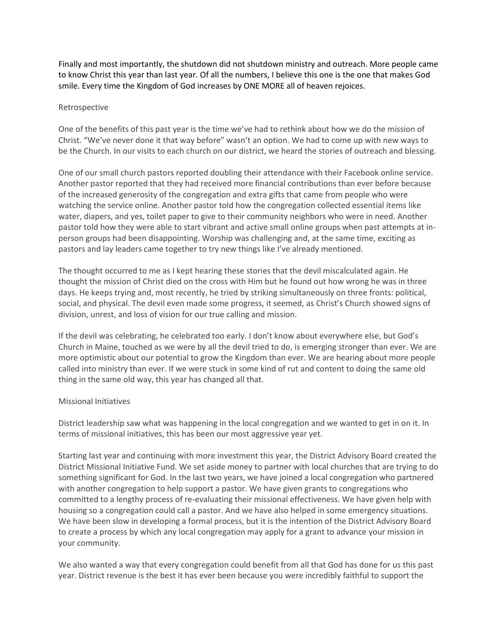Finally and most importantly, the shutdown did not shutdown ministry and outreach. More people came to know Christ this year than last year. Of all the numbers, I believe this one is the one that makes God smile. Every time the Kingdom of God increases by ONE MORE all of heaven rejoices.

#### Retrospective

One of the benefits of this past year is the time we've had to rethink about how we do the mission of Christ. "We've never done it that way before" wasn't an option. We had to come up with new ways to be the Church. In our visits to each church on our district, we heard the stories of outreach and blessing.

One of our small church pastors reported doubling their attendance with their Facebook online service. Another pastor reported that they had received more financial contributions than ever before because of the increased generosity of the congregation and extra gifts that came from people who were watching the service online. Another pastor told how the congregation collected essential items like water, diapers, and yes, toilet paper to give to their community neighbors who were in need. Another pastor told how they were able to start vibrant and active small online groups when past attempts at inperson groups had been disappointing. Worship was challenging and, at the same time, exciting as pastors and lay leaders came together to try new things like I've already mentioned.

The thought occurred to me as I kept hearing these stories that the devil miscalculated again. He thought the mission of Christ died on the cross with Him but he found out how wrong he was in three days. He keeps trying and, most recently, he tried by striking simultaneously on three fronts: political, social, and physical. The devil even made some progress, it seemed, as Christ's Church showed signs of division, unrest, and loss of vision for our true calling and mission.

If the devil was celebrating, he celebrated too early. I don't know about everywhere else, but God's Church in Maine, touched as we were by all the devil tried to do, is emerging stronger than ever. We are more optimistic about our potential to grow the Kingdom than ever. We are hearing about more people called into ministry than ever. If we were stuck in some kind of rut and content to doing the same old thing in the same old way, this year has changed all that.

## Missional Initiatives

District leadership saw what was happening in the local congregation and we wanted to get in on it. In terms of missional initiatives, this has been our most aggressive year yet.

Starting last year and continuing with more investment this year, the District Advisory Board created the District Missional Initiative Fund. We set aside money to partner with local churches that are trying to do something significant for God. In the last two years, we have joined a local congregation who partnered with another congregation to help support a pastor. We have given grants to congregations who committed to a lengthy process of re-evaluating their missional effectiveness. We have given help with housing so a congregation could call a pastor. And we have also helped in some emergency situations. We have been slow in developing a formal process, but it is the intention of the District Advisory Board to create a process by which any local congregation may apply for a grant to advance your mission in your community.

We also wanted a way that every congregation could benefit from all that God has done for us this past year. District revenue is the best it has ever been because you were incredibly faithful to support the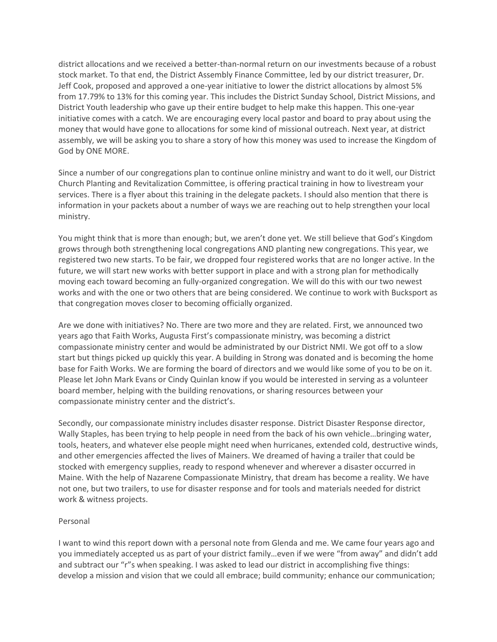district allocations and we received a better-than-normal return on our investments because of a robust stock market. To that end, the District Assembly Finance Committee, led by our district treasurer, Dr. Jeff Cook, proposed and approved a one-year initiative to lower the district allocations by almost 5% from 17.79% to 13% for this coming year. This includes the District Sunday School, District Missions, and District Youth leadership who gave up their entire budget to help make this happen. This one-year initiative comes with a catch. We are encouraging every local pastor and board to pray about using the money that would have gone to allocations for some kind of missional outreach. Next year, at district assembly, we will be asking you to share a story of how this money was used to increase the Kingdom of God by ONE MORE.

Since a number of our congregations plan to continue online ministry and want to do it well, our District Church Planting and Revitalization Committee, is offering practical training in how to livestream your services. There is a flyer about this training in the delegate packets. I should also mention that there is information in your packets about a number of ways we are reaching out to help strengthen your local ministry.

You might think that is more than enough; but, we aren't done yet. We still believe that God's Kingdom grows through both strengthening local congregations AND planting new congregations. This year, we registered two new starts. To be fair, we dropped four registered works that are no longer active. In the future, we will start new works with better support in place and with a strong plan for methodically moving each toward becoming an fully-organized congregation. We will do this with our two newest works and with the one or two others that are being considered. We continue to work with Bucksport as that congregation moves closer to becoming officially organized.

Are we done with initiatives? No. There are two more and they are related. First, we announced two years ago that Faith Works, Augusta First's compassionate ministry, was becoming a district compassionate ministry center and would be administrated by our District NMI. We got off to a slow start but things picked up quickly this year. A building in Strong was donated and is becoming the home base for Faith Works. We are forming the board of directors and we would like some of you to be on it. Please let John Mark Evans or Cindy Quinlan know if you would be interested in serving as a volunteer board member, helping with the building renovations, or sharing resources between your compassionate ministry center and the district's.

Secondly, our compassionate ministry includes disaster response. District Disaster Response director, Wally Staples, has been trying to help people in need from the back of his own vehicle…bringing water, tools, heaters, and whatever else people might need when hurricanes, extended cold, destructive winds, and other emergencies affected the lives of Mainers. We dreamed of having a trailer that could be stocked with emergency supplies, ready to respond whenever and wherever a disaster occurred in Maine. With the help of Nazarene Compassionate Ministry, that dream has become a reality. We have not one, but two trailers, to use for disaster response and for tools and materials needed for district work & witness projects.

#### Personal

I want to wind this report down with a personal note from Glenda and me. We came four years ago and you immediately accepted us as part of your district family…even if we were "from away" and didn't add and subtract our "r"s when speaking. I was asked to lead our district in accomplishing five things: develop a mission and vision that we could all embrace; build community; enhance our communication;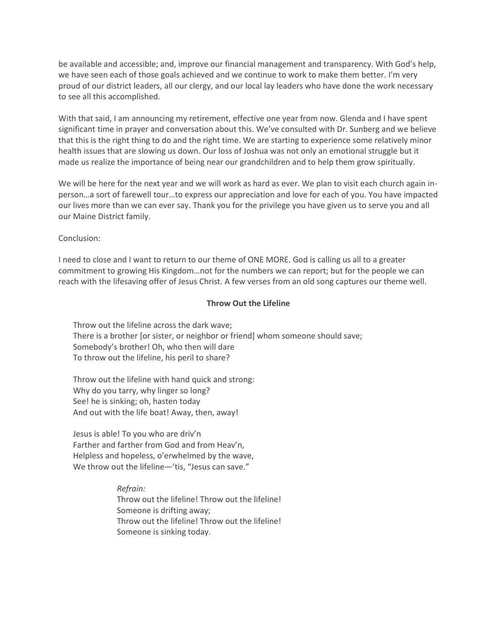be available and accessible; and, improve our financial management and transparency. With God's help, we have seen each of those goals achieved and we continue to work to make them better. I'm very proud of our district leaders, all our clergy, and our local lay leaders who have done the work necessary to see all this accomplished.

With that said, I am announcing my retirement, effective one year from now. Glenda and I have spent significant time in prayer and conversation about this. We've consulted with Dr. Sunberg and we believe that this is the right thing to do and the right time. We are starting to experience some relatively minor health issues that are slowing us down. Our loss of Joshua was not only an emotional struggle but it made us realize the importance of being near our grandchildren and to help them grow spiritually.

We will be here for the next year and we will work as hard as ever. We plan to visit each church again inperson…a sort of farewell tour…to express our appreciation and love for each of you. You have impacted our lives more than we can ever say. Thank you for the privilege you have given us to serve you and all our Maine District family.

## Conclusion:

I need to close and I want to return to our theme of ONE MORE. God is calling us all to a greater commitment to growing His Kingdom…not for the numbers we can report; but for the people we can reach with the lifesaving offer of Jesus Christ. A few verses from an old song captures our theme well.

#### **Throw Out the Lifeline**

Throw out the lifeline across the dark wave; There is a brother [or sister, or neighbor or friend] whom someone should save; Somebody's brother! Oh, who then will dare To throw out the lifeline, his peril to share?

Throw out the lifeline with hand quick and strong: Why do you tarry, why linger so long? See! he is sinking; oh, hasten today And out with the life boat! Away, then, away!

Jesus is able! To you who are driv'n Farther and farther from God and from Heav'n, Helpless and hopeless, o'erwhelmed by the wave, We throw out the lifeline—'tis, "Jesus can save."

> *Refrain:* Throw out the lifeline! Throw out the lifeline! Someone is drifting away; Throw out the lifeline! Throw out the lifeline! Someone is sinking today.